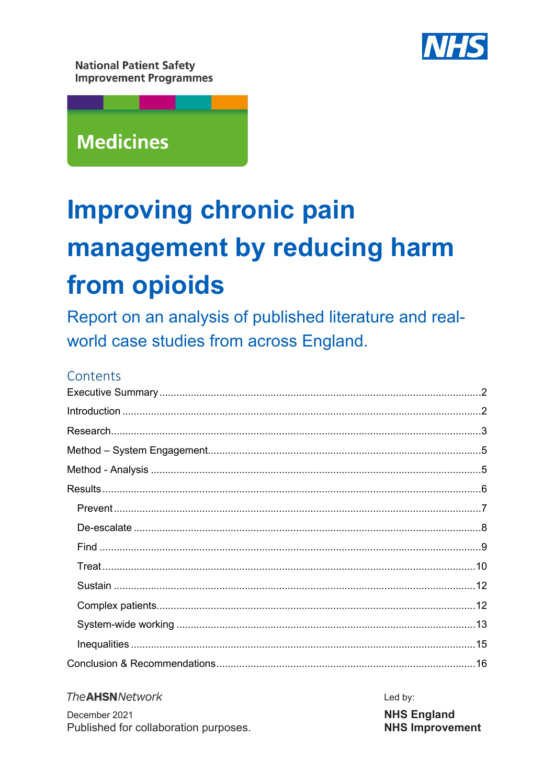

**National Patient Safety Improvement Programmes** 



# **Improving chronic pain** management by reducing harm from opioids

Report on an analysis of published literature and realworld case studies from across England.

# Contents

#### **The AHSNNetwork** Led by: **NHS England** December 2021 Published for collaboration purposes. **NHS Improvement**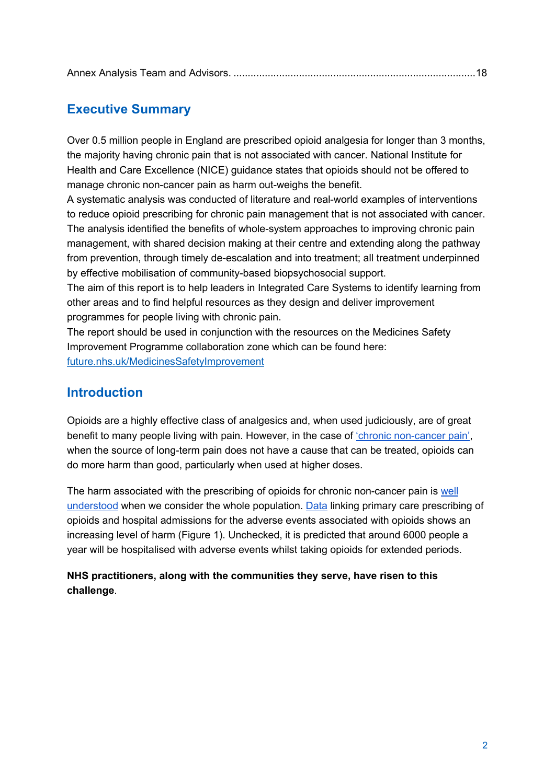|--|--|

# **Executive Summary**

Over 0.5 million people in England are prescribed opioid analgesia for longer than 3 months, the majority having chronic pain that is not associated with cancer. National Institute for Health and Care Excellence (NICE) guidance states that opioids should not be offered to manage chronic non-cancer pain as harm out-weighs the benefit.

A systematic analysis was conducted of literature and real-world examples of interventions to reduce opioid prescribing for chronic pain management that is not associated with cancer. The analysis identified the benefits of whole-system approaches to improving chronic pain management, with shared decision making at their centre and extending along the pathway from prevention, through timely de-escalation and into treatment; all treatment underpinned by effective mobilisation of community-based biopsychosocial support.

The aim of this report is to help leaders in Integrated Care Systems to identify learning from other areas and to find helpful resources as they design and deliver improvement programmes for people living with chronic pain.

The report should be used in conjunction with the resources on the Medicines Safety Improvement Programme collaboration zone which can be found here: future.nhs.uk/MedicinesSafetyImprovement

### **Introduction**

Opioids are a highly effective class of analgesics and, when used judiciously, are of great benefit to many people living with pain. However, in the case of 'chronic non-cancer pain', when the source of long-term pain does not have a cause that can be treated, opioids can do more harm than good, particularly when used at higher doses.

The harm associated with the prescribing of opioids for chronic non-cancer pain is well understood when we consider the whole population. Data linking primary care prescribing of opioids and hospital admissions for the adverse events associated with opioids shows an increasing level of harm (Figure 1). Unchecked, it is predicted that around 6000 people a year will be hospitalised with adverse events whilst taking opioids for extended periods.

**NHS practitioners, along with the communities they serve, have risen to this challenge**.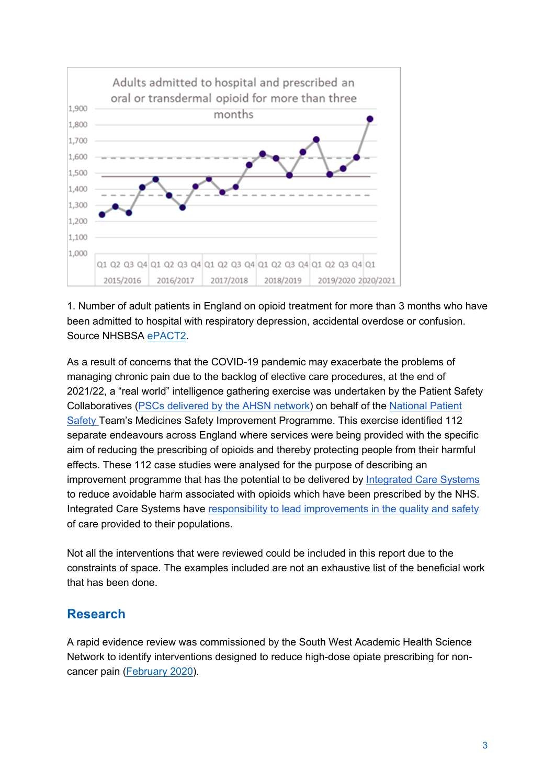

1. Number of adult patients in England on opioid treatment for more than 3 months who have been admitted to hospital with respiratory depression, accidental overdose or confusion. Source NHSBSA ePACT2.

As a result of concerns that the COVID-19 pandemic may exacerbate the problems of managing chronic pain due to the backlog of elective care procedures, at the end of 2021/22, a "real world" intelligence gathering exercise was undertaken by the Patient Safety Collaboratives (PSCs delivered by the AHSN network) on behalf of the National Patient Safety Team's Medicines Safety Improvement Programme. This exercise identified 112 separate endeavours across England where services were being provided with the specific aim of reducing the prescribing of opioids and thereby protecting people from their harmful effects. These 112 case studies were analysed for the purpose of describing an improvement programme that has the potential to be delivered by Integrated Care Systems to reduce avoidable harm associated with opioids which have been prescribed by the NHS. Integrated Care Systems have responsibility to lead improvements in the quality and safety of care provided to their populations.

Not all the interventions that were reviewed could be included in this report due to the constraints of space. The examples included are not an exhaustive list of the beneficial work that has been done.

# **Research**

A rapid evidence review was commissioned by the South West Academic Health Science Network to identify interventions designed to reduce high-dose opiate prescribing for noncancer pain (February 2020).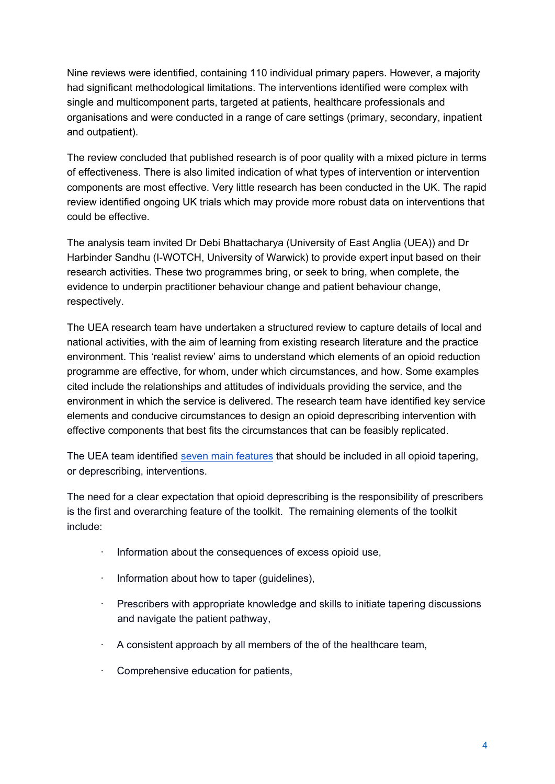Nine reviews were identified, containing 110 individual primary papers. However, a majority had significant methodological limitations. The interventions identified were complex with single and multicomponent parts, targeted at patients, healthcare professionals and organisations and were conducted in a range of care settings (primary, secondary, inpatient and outpatient).

The review concluded that published research is of poor quality with a mixed picture in terms of effectiveness. There is also limited indication of what types of intervention or intervention components are most effective. Very little research has been conducted in the UK. The rapid review identified ongoing UK trials which may provide more robust data on interventions that could be effective.

The analysis team invited Dr Debi Bhattacharya (University of East Anglia (UEA)) and Dr Harbinder Sandhu (I-WOTCH, University of Warwick) to provide expert input based on their research activities. These two programmes bring, or seek to bring, when complete, the evidence to underpin practitioner behaviour change and patient behaviour change, respectively.

The UEA research team have undertaken a structured review to capture details of local and national activities, with the aim of learning from existing research literature and the practice environment. This 'realist review' aims to understand which elements of an opioid reduction programme are effective, for whom, under which circumstances, and how. Some examples cited include the relationships and attitudes of individuals providing the service, and the environment in which the service is delivered. The research team have identified key service elements and conducive circumstances to design an opioid deprescribing intervention with effective components that best fits the circumstances that can be feasibly replicated.

The UEA team identified seven main features that should be included in all opioid tapering, or deprescribing, interventions.

The need for a clear expectation that opioid deprescribing is the responsibility of prescribers is the first and overarching feature of the toolkit. The remaining elements of the toolkit include:

- · Information about the consequences of excess opioid use,
- · Information about how to taper (guidelines),
- Prescribers with appropriate knowledge and skills to initiate tapering discussions and navigate the patient pathway,
- · A consistent approach by all members of the of the healthcare team,
- Comprehensive education for patients,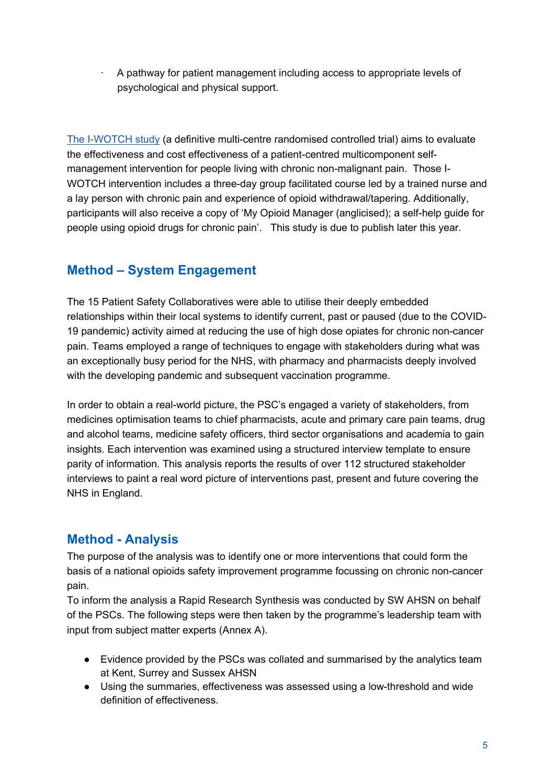· A pathway for patient management including access to appropriate levels of psychological and physical support.

The I-WOTCH study (a definitive multi-centre randomised controlled trial) aims to evaluate the effectiveness and cost effectiveness of a patient-centred multicomponent selfmanagement intervention for people living with chronic non-malignant pain. Those I-WOTCH intervention includes a three-day group facilitated course led by a trained nurse and a lay person with chronic pain and experience of opioid withdrawal/tapering. Additionally, participants will also receive a copy of 'My Opioid Manager (anglicised); a self-help guide for people using opioid drugs for chronic pain'. This study is due to publish later this year.

# **Method – System Engagement**

The 15 Patient Safety Collaboratives were able to utilise their deeply embedded relationships within their local systems to identify current, past or paused (due to the COVID-19 pandemic) activity aimed at reducing the use of high dose opiates for chronic non-cancer pain. Teams employed a range of techniques to engage with stakeholders during what was an exceptionally busy period for the NHS, with pharmacy and pharmacists deeply involved with the developing pandemic and subsequent vaccination programme.

In order to obtain a real-world picture, the PSC's engaged a variety of stakeholders, from medicines optimisation teams to chief pharmacists, acute and primary care pain teams, drug and alcohol teams, medicine safety officers, third sector organisations and academia to gain insights. Each intervention was examined using a structured interview template to ensure parity of information. This analysis reports the results of over 112 structured stakeholder interviews to paint a real word picture of interventions past, present and future covering the NHS in England.

# **Method - Analysis**

The purpose of the analysis was to identify one or more interventions that could form the basis of a national opioids safety improvement programme focussing on chronic non-cancer pain.

To inform the analysis a Rapid Research Synthesis was conducted by SW AHSN on behalf of the PSCs. The following steps were then taken by the programme's leadership team with input from subject matter experts (Annex A).

- Evidence provided by the PSCs was collated and summarised by the analytics team at Kent, Surrey and Sussex AHSN
- Using the summaries, effectiveness was assessed using a low-threshold and wide definition of effectiveness.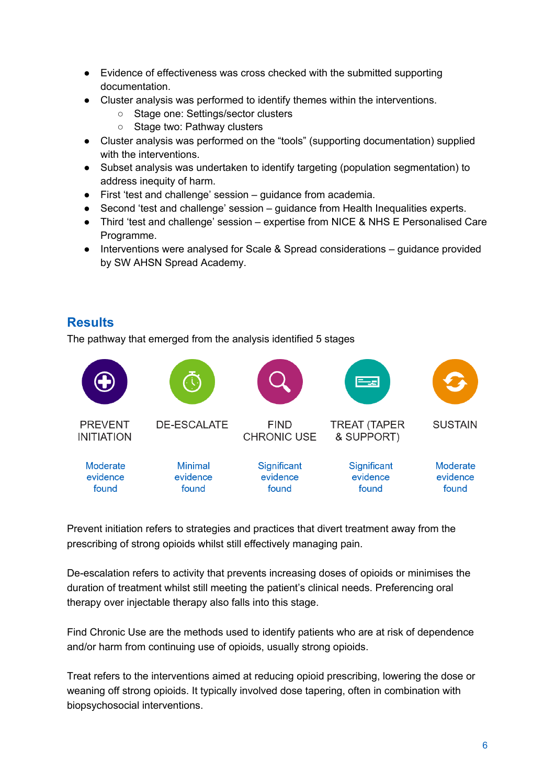- Evidence of effectiveness was cross checked with the submitted supporting documentation.
- Cluster analysis was performed to identify themes within the interventions.
	- Stage one: Settings/sector clusters
	- Stage two: Pathway clusters
- Cluster analysis was performed on the "tools" (supporting documentation) supplied with the interventions.
- Subset analysis was undertaken to identify targeting (population segmentation) to address inequity of harm.
- First 'test and challenge' session guidance from academia.
- Second 'test and challenge' session guidance from Health Inequalities experts.
- Third 'test and challenge' session expertise from NICE & NHS E Personalised Care Programme.
- Interventions were analysed for Scale & Spread considerations guidance provided by SW AHSN Spread Academy.

# **Results**

The pathway that emerged from the analysis identified 5 stages



Prevent initiation refers to strategies and practices that divert treatment away from the prescribing of strong opioids whilst still effectively managing pain.

De-escalation refers to activity that prevents increasing doses of opioids or minimises the duration of treatment whilst still meeting the patient's clinical needs. Preferencing oral therapy over injectable therapy also falls into this stage.

Find Chronic Use are the methods used to identify patients who are at risk of dependence and/or harm from continuing use of opioids, usually strong opioids.

Treat refers to the interventions aimed at reducing opioid prescribing, lowering the dose or weaning off strong opioids. It typically involved dose tapering, often in combination with biopsychosocial interventions.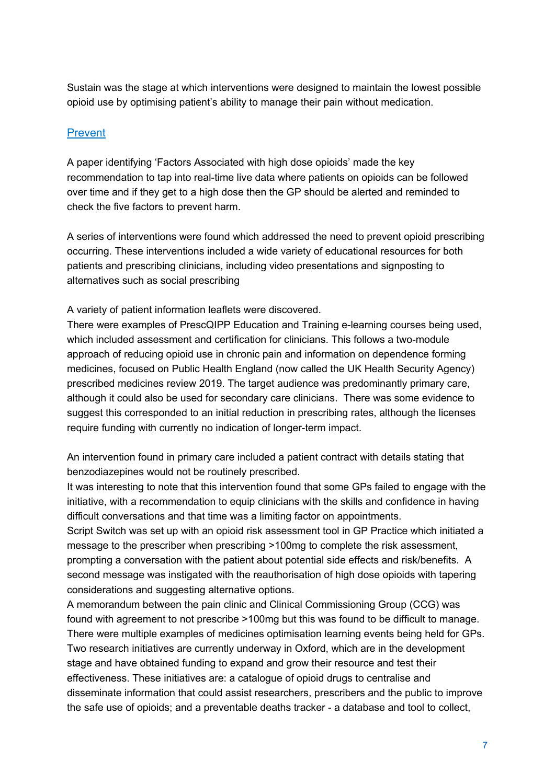Sustain was the stage at which interventions were designed to maintain the lowest possible opioid use by optimising patient's ability to manage their pain without medication.

#### **Prevent**

A paper identifying 'Factors Associated with high dose opioids' made the key recommendation to tap into real-time live data where patients on opioids can be followed over time and if they get to a high dose then the GP should be alerted and reminded to check the five factors to prevent harm.

A series of interventions were found which addressed the need to prevent opioid prescribing occurring. These interventions included a wide variety of educational resources for both patients and prescribing clinicians, including video presentations and signposting to alternatives such as social prescribing

A variety of patient information leaflets were discovered.

There were examples of PrescQIPP Education and Training e-learning courses being used, which included assessment and certification for clinicians. This follows a two-module approach of reducing opioid use in chronic pain and information on dependence forming medicines, focused on Public Health England (now called the UK Health Security Agency) prescribed medicines review 2019. The target audience was predominantly primary care, although it could also be used for secondary care clinicians. There was some evidence to suggest this corresponded to an initial reduction in prescribing rates, although the licenses require funding with currently no indication of longer-term impact.

An intervention found in primary care included a patient contract with details stating that benzodiazepines would not be routinely prescribed.

It was interesting to note that this intervention found that some GPs failed to engage with the initiative, with a recommendation to equip clinicians with the skills and confidence in having difficult conversations and that time was a limiting factor on appointments.

Script Switch was set up with an opioid risk assessment tool in GP Practice which initiated a message to the prescriber when prescribing >100mg to complete the risk assessment, prompting a conversation with the patient about potential side effects and risk/benefits. A second message was instigated with the reauthorisation of high dose opioids with tapering considerations and suggesting alternative options.

A memorandum between the pain clinic and Clinical Commissioning Group (CCG) was found with agreement to not prescribe >100mg but this was found to be difficult to manage. There were multiple examples of medicines optimisation learning events being held for GPs. Two research initiatives are currently underway in Oxford, which are in the development stage and have obtained funding to expand and grow their resource and test their effectiveness. These initiatives are: a catalogue of opioid drugs to centralise and disseminate information that could assist researchers, prescribers and the public to improve the safe use of opioids; and a preventable deaths tracker - a database and tool to collect,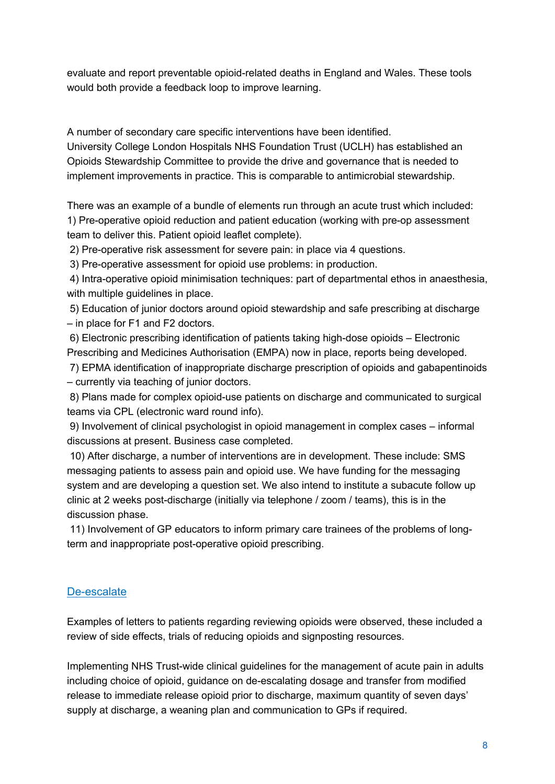evaluate and report preventable opioid-related deaths in England and Wales. These tools would both provide a feedback loop to improve learning.

A number of secondary care specific interventions have been identified. University College London Hospitals NHS Foundation Trust (UCLH) has established an Opioids Stewardship Committee to provide the drive and governance that is needed to

implement improvements in practice. This is comparable to antimicrobial stewardship.

There was an example of a bundle of elements run through an acute trust which included: 1) Pre-operative opioid reduction and patient education (working with pre-op assessment team to deliver this. Patient opioid leaflet complete).

2) Pre-operative risk assessment for severe pain: in place via 4 questions.

3) Pre-operative assessment for opioid use problems: in production.

4) Intra-operative opioid minimisation techniques: part of departmental ethos in anaesthesia, with multiple guidelines in place.

5) Education of junior doctors around opioid stewardship and safe prescribing at discharge – in place for F1 and F2 doctors.

6) Electronic prescribing identification of patients taking high-dose opioids – Electronic Prescribing and Medicines Authorisation (EMPA) now in place, reports being developed.

7) EPMA identification of inappropriate discharge prescription of opioids and gabapentinoids – currently via teaching of junior doctors.

8) Plans made for complex opioid-use patients on discharge and communicated to surgical teams via CPL (electronic ward round info).

9) Involvement of clinical psychologist in opioid management in complex cases – informal discussions at present. Business case completed.

10) After discharge, a number of interventions are in development. These include: SMS messaging patients to assess pain and opioid use. We have funding for the messaging system and are developing a question set. We also intend to institute a subacute follow up clinic at 2 weeks post-discharge (initially via telephone / zoom / teams), this is in the discussion phase.

11) Involvement of GP educators to inform primary care trainees of the problems of longterm and inappropriate post-operative opioid prescribing.

#### De-escalate

Examples of letters to patients regarding reviewing opioids were observed, these included a review of side effects, trials of reducing opioids and signposting resources.

Implementing NHS Trust-wide clinical guidelines for the management of acute pain in adults including choice of opioid, guidance on de-escalating dosage and transfer from modified release to immediate release opioid prior to discharge, maximum quantity of seven days' supply at discharge, a weaning plan and communication to GPs if required.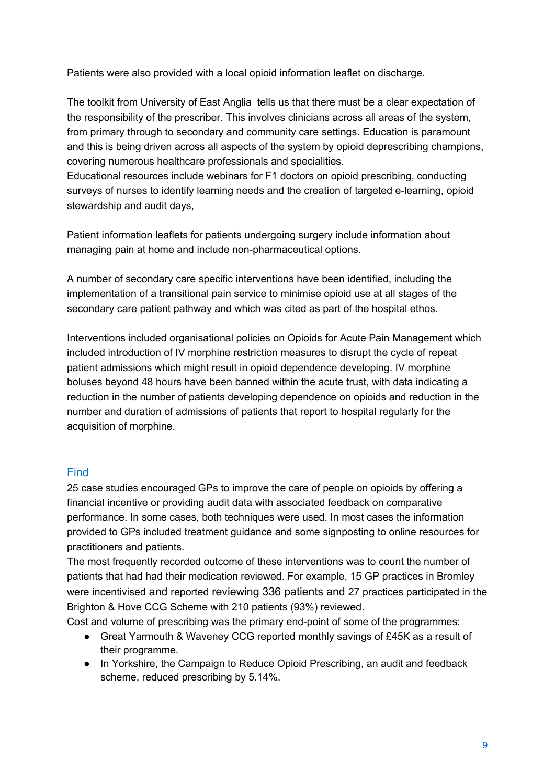Patients were also provided with a local opioid information leaflet on discharge.

The toolkit from University of East Anglia tells us that there must be a clear expectation of the responsibility of the prescriber. This involves clinicians across all areas of the system, from primary through to secondary and community care settings. Education is paramount and this is being driven across all aspects of the system by opioid deprescribing champions, covering numerous healthcare professionals and specialities.

Educational resources include webinars for F1 doctors on opioid prescribing, conducting surveys of nurses to identify learning needs and the creation of targeted e-learning, opioid stewardship and audit days,

Patient information leaflets for patients undergoing surgery include information about managing pain at home and include non-pharmaceutical options.

A number of secondary care specific interventions have been identified, including the implementation of a transitional pain service to minimise opioid use at all stages of the secondary care patient pathway and which was cited as part of the hospital ethos.

Interventions included organisational policies on Opioids for Acute Pain Management which included introduction of IV morphine restriction measures to disrupt the cycle of repeat patient admissions which might result in opioid dependence developing. IV morphine boluses beyond 48 hours have been banned within the acute trust, with data indicating a reduction in the number of patients developing dependence on opioids and reduction in the number and duration of admissions of patients that report to hospital regularly for the acquisition of morphine.

#### Find

25 case studies encouraged GPs to improve the care of people on opioids by offering a financial incentive or providing audit data with associated feedback on comparative performance. In some cases, both techniques were used. In most cases the information provided to GPs included treatment guidance and some signposting to online resources for practitioners and patients.

The most frequently recorded outcome of these interventions was to count the number of patients that had had their medication reviewed. For example, 15 GP practices in Bromley were incentivised and reported reviewing 336 patients and 27 practices participated in the Brighton & Hove CCG Scheme with 210 patients (93%) reviewed.

Cost and volume of prescribing was the primary end-point of some of the programmes:

- Great Yarmouth & Waveney CCG reported monthly savings of £45K as a result of their programme.
- In Yorkshire, the Campaign to Reduce Opioid Prescribing, an audit and feedback scheme, reduced prescribing by 5.14%.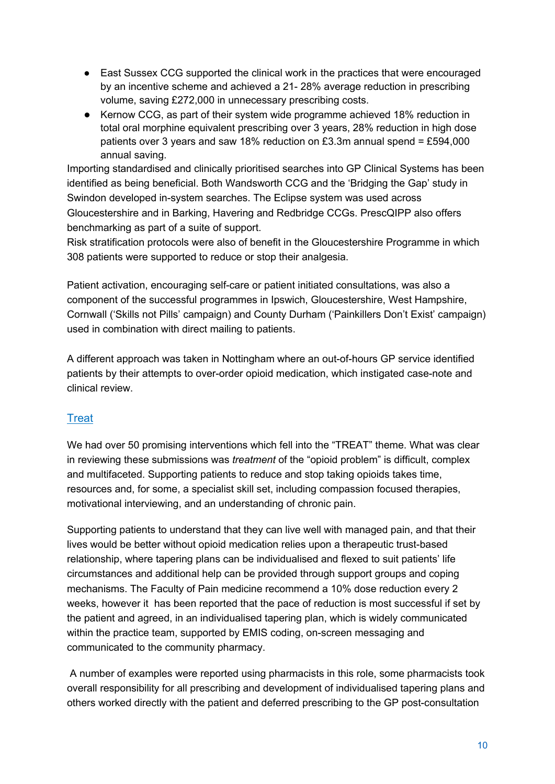- East Sussex CCG supported the clinical work in the practices that were encouraged by an incentive scheme and achieved a 21- 28% average reduction in prescribing volume, saving £272,000 in unnecessary prescribing costs.
- Kernow CCG, as part of their system wide programme achieved 18% reduction in total oral morphine equivalent prescribing over 3 years, 28% reduction in high dose patients over 3 years and saw 18% reduction on £3.3m annual spend = £594,000 annual saving.

Importing standardised and clinically prioritised searches into GP Clinical Systems has been identified as being beneficial. Both Wandsworth CCG and the 'Bridging the Gap' study in Swindon developed in-system searches. The Eclipse system was used across Gloucestershire and in Barking, Havering and Redbridge CCGs. PrescQIPP also offers benchmarking as part of a suite of support.

Risk stratification protocols were also of benefit in the Gloucestershire Programme in which 308 patients were supported to reduce or stop their analgesia.

Patient activation, encouraging self-care or patient initiated consultations, was also a component of the successful programmes in Ipswich, Gloucestershire, West Hampshire, Cornwall ('Skills not Pills' campaign) and County Durham ('Painkillers Don't Exist' campaign) used in combination with direct mailing to patients.

A different approach was taken in Nottingham where an out-of-hours GP service identified patients by their attempts to over-order opioid medication, which instigated case-note and clinical review.

#### **Treat**

We had over 50 promising interventions which fell into the "TREAT" theme. What was clear in reviewing these submissions was *treatment* of the "opioid problem" is difficult, complex and multifaceted. Supporting patients to reduce and stop taking opioids takes time, resources and, for some, a specialist skill set, including compassion focused therapies, motivational interviewing, and an understanding of chronic pain.

Supporting patients to understand that they can live well with managed pain, and that their lives would be better without opioid medication relies upon a therapeutic trust-based relationship, where tapering plans can be individualised and flexed to suit patients' life circumstances and additional help can be provided through support groups and coping mechanisms. The Faculty of Pain medicine recommend a 10% dose reduction every 2 weeks, however it has been reported that the pace of reduction is most successful if set by the patient and agreed, in an individualised tapering plan, which is widely communicated within the practice team, supported by EMIS coding, on-screen messaging and communicated to the community pharmacy.

A number of examples were reported using pharmacists in this role, some pharmacists took overall responsibility for all prescribing and development of individualised tapering plans and others worked directly with the patient and deferred prescribing to the GP post-consultation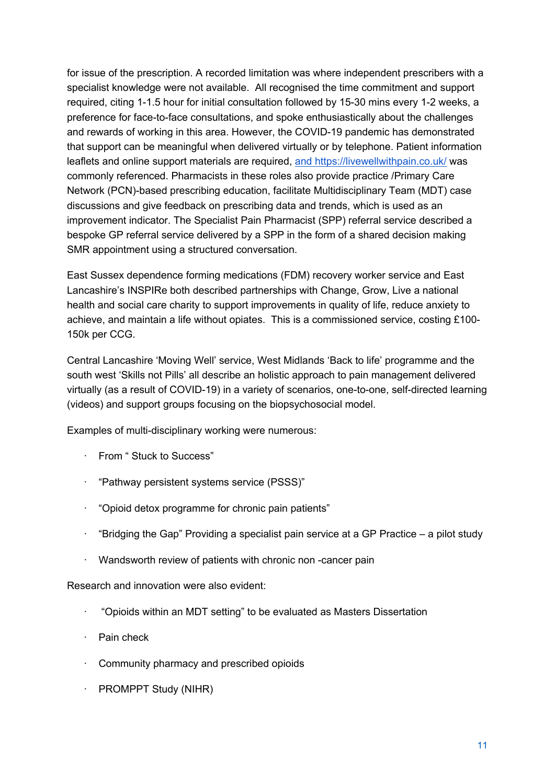for issue of the prescription. A recorded limitation was where independent prescribers with a specialist knowledge were not available. All recognised the time commitment and support required, citing 1-1.5 hour for initial consultation followed by 15-30 mins every 1-2 weeks, a preference for face-to-face consultations, and spoke enthusiastically about the challenges and rewards of working in this area. However, the COVID-19 pandemic has demonstrated that support can be meaningful when delivered virtually or by telephone. Patient information leaflets and online support materials are required, and https://livewellwithpain.co.uk/ was commonly referenced. Pharmacists in these roles also provide practice /Primary Care Network (PCN)-based prescribing education, facilitate Multidisciplinary Team (MDT) case discussions and give feedback on prescribing data and trends, which is used as an improvement indicator. The Specialist Pain Pharmacist (SPP) referral service described a bespoke GP referral service delivered by a SPP in the form of a shared decision making SMR appointment using a structured conversation.

East Sussex dependence forming medications (FDM) recovery worker service and East Lancashire's INSPIRe both described partnerships with Change, Grow, Live a national health and social care charity to support improvements in quality of life, reduce anxiety to achieve, and maintain a life without opiates. This is a commissioned service, costing £100- 150k per CCG.

Central Lancashire 'Moving Well' service, West Midlands 'Back to life' programme and the south west 'Skills not Pills' all describe an holistic approach to pain management delivered virtually (as a result of COVID-19) in a variety of scenarios, one-to-one, self-directed learning (videos) and support groups focusing on the biopsychosocial model.

Examples of multi-disciplinary working were numerous:

- · From " Stuck to Success"
- · "Pathway persistent systems service (PSSS)"
- · "Opioid detox programme for chronic pain patients"
- · "Bridging the Gap" Providing a specialist pain service at a GP Practice a pilot study
- Wandsworth review of patients with chronic non -cancer pain

Research and innovation were also evident:

- · "Opioids within an MDT setting" to be evaluated as Masters Dissertation
- · Pain check
- · Community pharmacy and prescribed opioids
- PROMPPT Study (NIHR)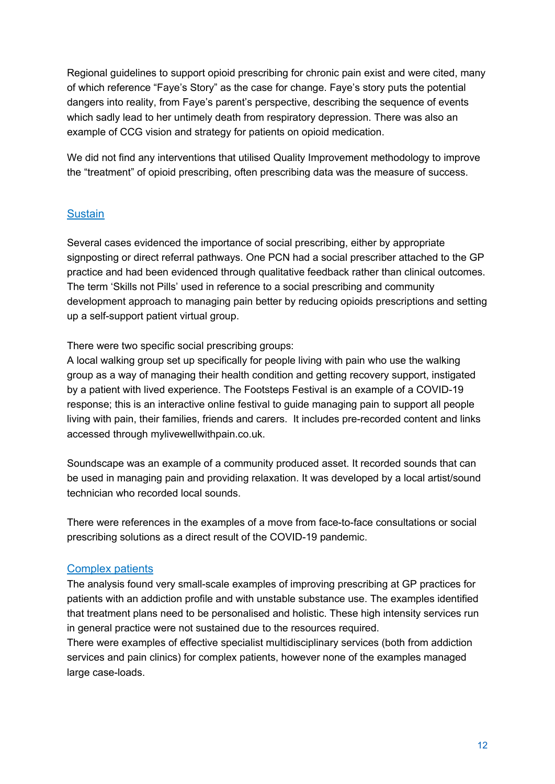Regional guidelines to support opioid prescribing for chronic pain exist and were cited, many of which reference "Faye's Story" as the case for change. Faye's story puts the potential dangers into reality, from Faye's parent's perspective, describing the sequence of events which sadly lead to her untimely death from respiratory depression. There was also an example of CCG vision and strategy for patients on opioid medication.

We did not find any interventions that utilised Quality Improvement methodology to improve the "treatment" of opioid prescribing, often prescribing data was the measure of success.

#### **Sustain**

Several cases evidenced the importance of social prescribing, either by appropriate signposting or direct referral pathways. One PCN had a social prescriber attached to the GP practice and had been evidenced through qualitative feedback rather than clinical outcomes. The term 'Skills not Pills' used in reference to a social prescribing and community development approach to managing pain better by reducing opioids prescriptions and setting up a self-support patient virtual group.

There were two specific social prescribing groups:

A local walking group set up specifically for people living with pain who use the walking group as a way of managing their health condition and getting recovery support, instigated by a patient with lived experience. The Footsteps Festival is an example of a COVID-19 response; this is an interactive online festival to guide managing pain to support all people living with pain, their families, friends and carers. It includes pre-recorded content and links accessed through mylivewellwithpain.co.uk.

Soundscape was an example of a community produced asset. It recorded sounds that can be used in managing pain and providing relaxation. It was developed by a local artist/sound technician who recorded local sounds.

There were references in the examples of a move from face-to-face consultations or social prescribing solutions as a direct result of the COVID-19 pandemic.

#### Complex patients

The analysis found very small-scale examples of improving prescribing at GP practices for patients with an addiction profile and with unstable substance use. The examples identified that treatment plans need to be personalised and holistic. These high intensity services run in general practice were not sustained due to the resources required.

There were examples of effective specialist multidisciplinary services (both from addiction services and pain clinics) for complex patients, however none of the examples managed large case-loads.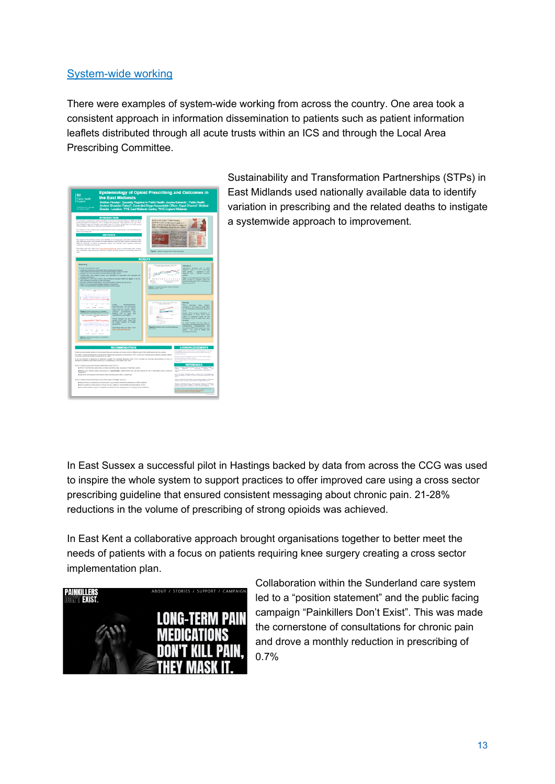#### System-wide working

There were examples of system-wide working from across the country. One area took a consistent approach in information dissemination to patients such as patient information leaflets distributed through all acute trusts within an ICS and through the Local Area Prescribing Committee.



Sustainability and Transformation Partnerships (STPs) in East Midlands used nationally available data to identify variation in prescribing and the related deaths to instigate a systemwide approach to improvement.

In East Sussex a successful pilot in Hastings backed by data from across the CCG was used to inspire the whole system to support practices to offer improved care using a cross sector prescribing guideline that ensured consistent messaging about chronic pain. 21-28% reductions in the volume of prescribing of strong opioids was achieved.

In East Kent a collaborative approach brought organisations together to better meet the needs of patients with a focus on patients requiring knee surgery creating a cross sector implementation plan.



Collaboration within the Sunderland care system led to a "position statement" and the public facing campaign "Painkillers Don't Exist". This was made the cornerstone of consultations for chronic pain and drove a monthly reduction in prescribing of 0.7%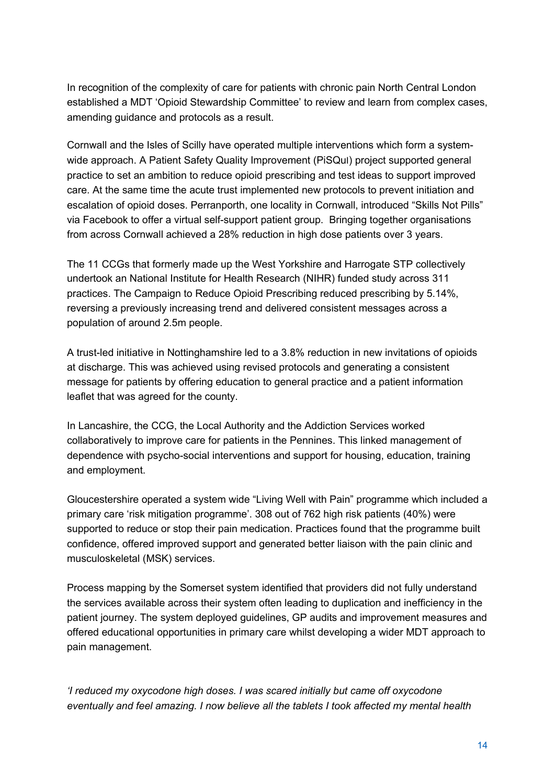In recognition of the complexity of care for patients with chronic pain North Central London established a MDT 'Opioid Stewardship Committee' to review and learn from complex cases, amending guidance and protocols as a result.

Cornwall and the Isles of Scilly have operated multiple interventions which form a systemwide approach. A Patient Safety Quality Improvement (PiSQuI) project supported general practice to set an ambition to reduce opioid prescribing and test ideas to support improved care. At the same time the acute trust implemented new protocols to prevent initiation and escalation of opioid doses. Perranporth, one locality in Cornwall, introduced "Skills Not Pills" via Facebook to offer a virtual self-support patient group. Bringing together organisations from across Cornwall achieved a 28% reduction in high dose patients over 3 years.

The 11 CCGs that formerly made up the West Yorkshire and Harrogate STP collectively undertook an National Institute for Health Research (NIHR) funded study across 311 practices. The Campaign to Reduce Opioid Prescribing reduced prescribing by 5.14%, reversing a previously increasing trend and delivered consistent messages across a population of around 2.5m people.

A trust-led initiative in Nottinghamshire led to a 3.8% reduction in new invitations of opioids at discharge. This was achieved using revised protocols and generating a consistent message for patients by offering education to general practice and a patient information leaflet that was agreed for the county.

In Lancashire, the CCG, the Local Authority and the Addiction Services worked collaboratively to improve care for patients in the Pennines. This linked management of dependence with psycho-social interventions and support for housing, education, training and employment.

Gloucestershire operated a system wide "Living Well with Pain" programme which included a primary care 'risk mitigation programme'. 308 out of 762 high risk patients (40%) were supported to reduce or stop their pain medication. Practices found that the programme built confidence, offered improved support and generated better liaison with the pain clinic and musculoskeletal (MSK) services.

Process mapping by the Somerset system identified that providers did not fully understand the services available across their system often leading to duplication and inefficiency in the patient journey. The system deployed guidelines, GP audits and improvement measures and offered educational opportunities in primary care whilst developing a wider MDT approach to pain management.

*'I reduced my oxycodone high doses. I was scared initially but came off oxycodone eventually and feel amazing. I now believe all the tablets I took affected my mental health*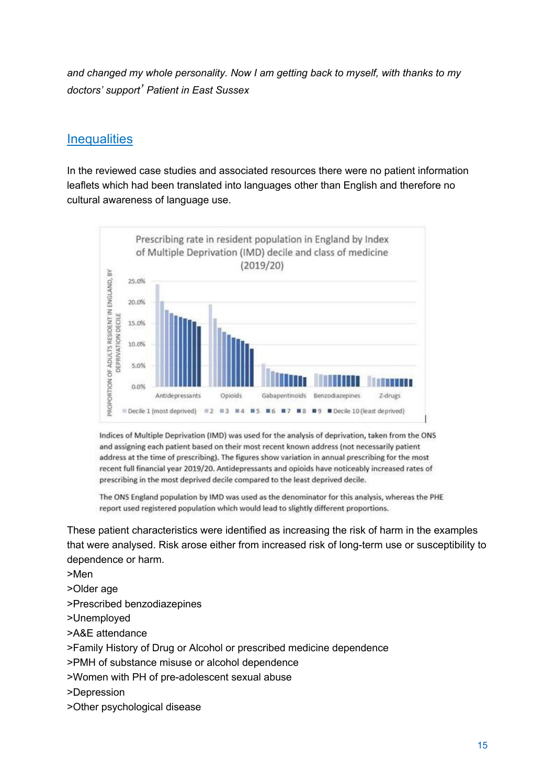*and changed my whole personality. Now I am getting back to myself, with thanks to my doctors' support' Patient in East Sussex*

### **Inequalities**

In the reviewed case studies and associated resources there were no patient information leaflets which had been translated into languages other than English and therefore no cultural awareness of language use.



Indices of Multiple Deprivation (IMD) was used for the analysis of deprivation, taken from the ONS and assigning each patient based on their most recent known address (not necessarily patient address at the time of prescribing). The figures show variation in annual prescribing for the most recent full financial year 2019/20. Antidepressants and opioids have noticeably increased rates of prescribing in the most deprived decile compared to the least deprived decile.

The ONS England population by IMD was used as the denominator for this analysis, whereas the PHE report used registered population which would lead to slightly different proportions.

These patient characteristics were identified as increasing the risk of harm in the examples that were analysed. Risk arose either from increased risk of long-term use or susceptibility to dependence or harm.

- >Men
- >Older age
- >Prescribed benzodiazepines
- >Unemployed
- >A&E attendance
- >Family History of Drug or Alcohol or prescribed medicine dependence
- >PMH of substance misuse or alcohol dependence
- >Women with PH of pre-adolescent sexual abuse
- >Depression
- >Other psychological disease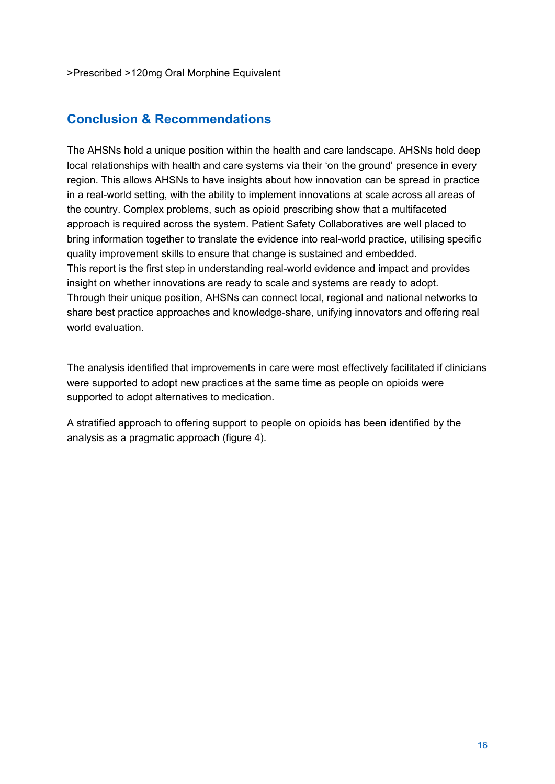# **Conclusion & Recommendations**

The AHSNs hold a unique position within the health and care landscape. AHSNs hold deep local relationships with health and care systems via their 'on the ground' presence in every region. This allows AHSNs to have insights about how innovation can be spread in practice in a real-world setting, with the ability to implement innovations at scale across all areas of the country. Complex problems, such as opioid prescribing show that a multifaceted approach is required across the system. Patient Safety Collaboratives are well placed to bring information together to translate the evidence into real-world practice, utilising specific quality improvement skills to ensure that change is sustained and embedded. This report is the first step in understanding real-world evidence and impact and provides insight on whether innovations are ready to scale and systems are ready to adopt. Through their unique position, AHSNs can connect local, regional and national networks to share best practice approaches and knowledge-share, unifying innovators and offering real world evaluation.

The analysis identified that improvements in care were most effectively facilitated if clinicians were supported to adopt new practices at the same time as people on opioids were supported to adopt alternatives to medication.

A stratified approach to offering support to people on opioids has been identified by the analysis as a pragmatic approach (figure 4).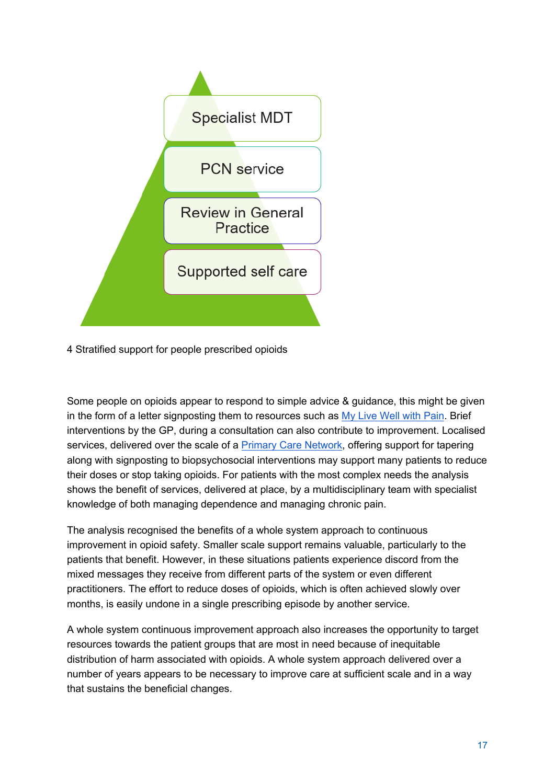

4 Stratified support for people prescribed opioids

Some people on opioids appear to respond to simple advice & guidance, this might be given in the form of a letter signposting them to resources such as My Live Well with Pain. Brief interventions by the GP, during a consultation can also contribute to improvement. Localised services, delivered over the scale of a Primary Care Network, offering support for tapering along with signposting to biopsychosocial interventions may support many patients to reduce their doses or stop taking opioids. For patients with the most complex needs the analysis shows the benefit of services, delivered at place, by a multidisciplinary team with specialist knowledge of both managing dependence and managing chronic pain.

The analysis recognised the benefits of a whole system approach to continuous improvement in opioid safety. Smaller scale support remains valuable, particularly to the patients that benefit. However, in these situations patients experience discord from the mixed messages they receive from different parts of the system or even different practitioners. The effort to reduce doses of opioids, which is often achieved slowly over months, is easily undone in a single prescribing episode by another service.

A whole system continuous improvement approach also increases the opportunity to target resources towards the patient groups that are most in need because of inequitable distribution of harm associated with opioids. A whole system approach delivered over a number of years appears to be necessary to improve care at sufficient scale and in a way that sustains the beneficial changes.